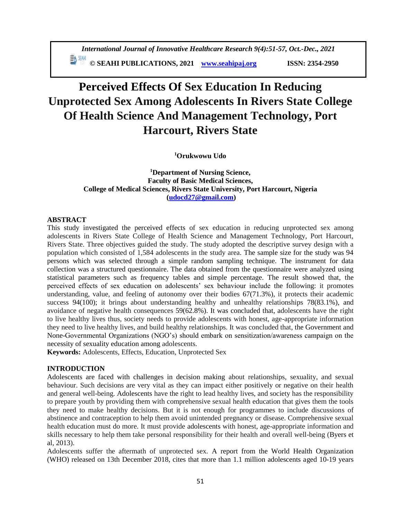**© SEAHI PUBLICATIONS, 2021 [www.seahipaj.org](http://www.seahipaj.org/) ISSN: 2354-2950**

# **Perceived Effects Of Sex Education In Reducing Unprotected Sex Among Adolescents In Rivers State College Of Health Science And Management Technology, Port Harcourt, Rivers State**

**<sup>1</sup>Orukwowu Udo** 

**<sup>1</sup>Department of Nursing Science, Faculty of Basic Medical Sciences, College of Medical Sciences, Rivers State University, Port Harcourt, Nigeria [\(udocd27@gmail.com\)](mailto:udocd27@gmail.com)**

### **ABSTRACT**

This study investigated the perceived effects of sex education in reducing unprotected sex among adolescents in Rivers State College of Health Science and Management Technology, Port Harcourt, Rivers State. Three objectives guided the study. The study adopted the descriptive survey design with a population which consisted of 1,584 adolescents in the study area. The sample size for the study was 94 persons which was selected through a simple random sampling technique. The instrument for data collection was a structured questionnaire. The data obtained from the questionnaire were analyzed using statistical parameters such as frequency tables and simple percentage. The result showed that, the perceived effects of sex education on adolescents' sex behaviour include the following: it promotes understanding, value, and feeling of autonomy over their bodies 67(71.3%), it protects their academic success 94(100); it brings about understanding healthy and unhealthy relationships 78(83.1%), and avoidance of negative health consequences 59(62.8%). It was concluded that, adolescents have the right to live healthy lives thus, society needs to provide adolescents with honest, age-appropriate information they need to live healthy lives, and build healthy relationships. It was concluded that, the Government and None-Governmental Organizations (NGO's) should embark on sensitization/awareness campaign on the necessity of sexuality education among adolescents.

**Keywords:** Adolescents, Effects, Education, Unprotected Sex

### **INTRODUCTION**

Adolescents are faced with challenges in decision making about relationships, sexuality, and sexual behaviour. Such decisions are very vital as they can impact either positively or negative on their health and general well-being. Adolescents have the right to lead healthy lives, and society has the responsibility to prepare youth by providing them with comprehensive sexual health education that gives them the tools they need to make healthy decisions. But it is not enough for programmes to include discussions of abstinence and contraception to help them avoid unintended pregnancy or disease. Comprehensive sexual health education must do more. It must provide adolescents with honest, age-appropriate information and skills necessary to help them take personal responsibility for their health and overall well-being (Byers et al, 2013).

Adolescents suffer the aftermath of unprotected sex. A report from the World Health Organization (WHO) released on 13th December 2018, cites that more than 1.1 million adolescents aged 10-19 years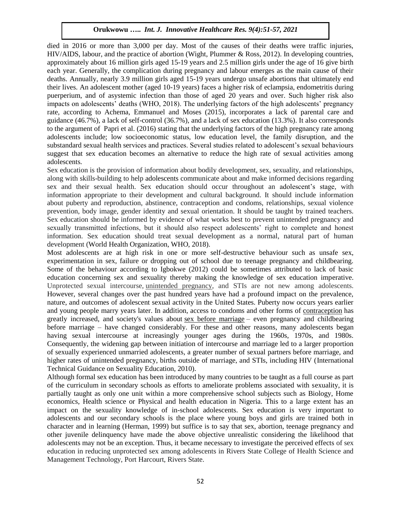died in 2016 or more than 3,000 per day. Most of the causes of their deaths were traffic injuries, HIV/AIDS, labour, and the practice of abortion (Wight, Plummer & Ross, 2012). In developing countries, approximately about 16 million girls aged 15-19 years and 2.5 million girls under the age of 16 give birth each year. Generally, the complication during pregnancy and labour emerges as the main cause of their deaths. Annually, nearly 3.9 million girls aged 15-19 years undergo unsafe abortions that ultimately end their lives. An adolescent mother (aged 10-19 years) faces a higher risk of eclampsia, endometritis during puerperium, and of asystemic infection than those of aged 20 years and over. Such higher risk also impacts on adolescents' deaths (WHO, 2018). The underlying factors of the high adolescents' pregnancy rate, according to Achema, Emmanuel and Moses (2015), incorporates a lack of parental care and guidance (46.7%), a lack of self-control (36.7%), and a lack of sex education (13.3%). It also corresponds to the argument of Papri et al. (2016) stating that the underlying factors of the high pregnancy rate among adolescents include; low socioeconomic status, low education level, the family disruption, and the substandard sexual health services and practices. Several studies related to adolescent's sexual behaviours suggest that sex education becomes an alternative to reduce the high rate of sexual activities among adolescents.

Sex education is the provision of information about bodily development, sex, sexuality, and relationships, along with skills-building to help adolescents communicate about and make informed decisions regarding sex and their sexual health. Sex education should occur throughout an adolescent's stage, with information appropriate to their development and cultural background. It should include information about puberty and reproduction, abstinence, contraception and condoms, relationships, sexual violence prevention, body image, gender identity and sexual orientation. It should be taught by trained teachers. Sex education should be informed by evidence of what works best to prevent unintended pregnancy and sexually transmitted infections, but it should also respect adolescents' right to complete and honest information. Sex education should treat sexual development as a normal, natural part of human development (World Health Organization, WHO, 2018).

Most adolescents are at high risk in one or more self-destructive behaviour such as unsafe sex, experimentation in sex, failure or dropping out of school due to teenage pregnancy and childbearing. Some of the behaviour according to Igbokwe (2012) could be sometimes attributed to lack of basic education concerning sex and sexuality thereby making the knowledge of sex education imperative. Unprotected sexual intercourse, [unintended pregnancy,](https://www.sciencedirect.com/topics/medicine-and-dentistry/unintended-pregnancy) and STIs are not new among adolescents. However, several changes over the past hundred years have had a profound impact on the prevalence, nature, and outcomes of adolescent sexual activity in the United States. Puberty now occurs years earlier and young people marry years later. In addition, access to condoms and other forms of [contraception](https://www.sciencedirect.com/topics/medicine-and-dentistry/contraception) has greatly increased, and society's values about [sex before marriage](https://www.sciencedirect.com/topics/medicine-and-dentistry/premarital-sex) – even pregnancy and childbearing before marriage – have changed considerably. For these and other reasons, many adolescents began having sexual intercourse at increasingly younger ages during the 1960s, 1970s, and 1980s. Consequently, the widening gap between initiation of intercourse and marriage led to a larger proportion of sexually experienced unmarried adolescents, a greater number of sexual partners before marriage, and higher rates of unintended pregnancy, births outside of marriage, and STIs, including HIV (International Technical Guidance on Sexuality Education, 2010).

Although formal sex education has been introduced by many countries to be taught as a full course as part of the curriculum in secondary schools as efforts to ameliorate problems associated with sexuality, it is partially taught as only one unit within a more comprehensive school subjects such as Biology, Home economics, Health science or Physical and health education in Nigeria. This to a large extent has an impact on the sexuality knowledge of in-school adolescents. Sex education is very important to adolescents and our secondary schools is the place where young boys and girls are trained both in character and in learning (Herman, 1999) but suffice is to say that sex, abortion, teenage pregnancy and other juvenile delinquency have made the above objective unrealistic considering the likelihood that adolescents may not be an exception. Thus, it became necessary to investigate the perceived effects of sex education in reducing unprotected sex among adolescents in Rivers State College of Health Science and Management Technology, Port Harcourt, Rivers State.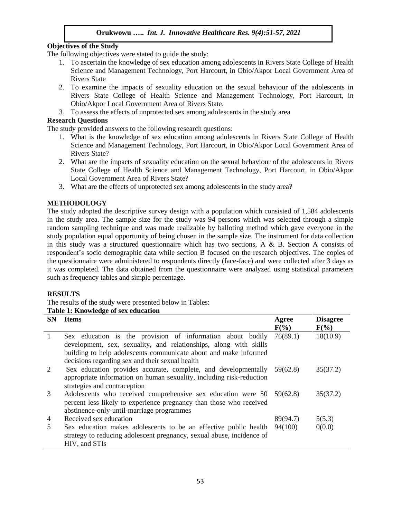# **Objectives of the Study**

The following objectives were stated to guide the study:

- 1. To ascertain the knowledge of sex education among adolescents in Rivers State College of Health Science and Management Technology, Port Harcourt, in Obio/Akpor Local Government Area of Rivers State
- 2. To examine the impacts of sexuality education on the sexual behaviour of the adolescents in Rivers State College of Health Science and Management Technology, Port Harcourt, in Obio/Akpor Local Government Area of Rivers State.
- 3. To assess the effects of unprotected sex among adolescents in the study area

### **Research Questions**

The study provided answers to the following research questions:

- 1. What is the knowledge of sex education among adolescents in Rivers State College of Health Science and Management Technology, Port Harcourt, in Obio/Akpor Local Government Area of Rivers State?
- 2. What are the impacts of sexuality education on the sexual behaviour of the adolescents in Rivers State College of Health Science and Management Technology, Port Harcourt, in Obio/Akpor Local Government Area of Rivers State?
- 3. What are the effects of unprotected sex among adolescents in the study area?

# **METHODOLOGY**

The study adopted the descriptive survey design with a population which consisted of 1,584 adolescents in the study area. The sample size for the study was 94 persons which was selected through a simple random sampling technique and was made realizable by balloting method which gave everyone in the study population equal opportunity of being chosen in the sample size. The instrument for data collection in this study was a structured questionnaire which has two sections, A & B. Section A consists of respondent's socio demographic data while section B focused on the research objectives. The copies of the questionnaire were administered to respondents directly (face-face) and were collected after 3 days as it was completed. The data obtained from the questionnaire were analyzed using statistical parameters such as frequency tables and simple percentage.

### **RESULTS**

The results of the study were presented below in Tables:

| Table 1: Knowledge of sex education |
|-------------------------------------|
|-------------------------------------|

| <b>SN</b>    | <b>Items</b>                                                                                                                                                                                                                                           | Agree<br>$F(\%)$ | <b>Disagree</b><br>$F(\%)$ |
|--------------|--------------------------------------------------------------------------------------------------------------------------------------------------------------------------------------------------------------------------------------------------------|------------------|----------------------------|
| $\mathbf{1}$ | Sex education is the provision of information about bodily<br>development, sex, sexuality, and relationships, along with skills<br>building to help adolescents communicate about and make informed<br>decisions regarding sex and their sexual health | 76(89.1)         | 18(10.9)                   |
| 2            | Sex education provides accurate, complete, and developmentally 59(62.8)<br>appropriate information on human sexuality, including risk-reduction<br>strategies and contraception                                                                        |                  | 35(37.2)                   |
| 3            | Adolescents who received comprehensive sex education were 50 59(62.8)<br>percent less likely to experience pregnancy than those who received<br>abstinence-only-until-marriage programmes                                                              |                  | 35(37.2)                   |
| 4            | Received sex education                                                                                                                                                                                                                                 | 89(94.7)         | 5(5.3)                     |
| 5            | Sex education makes adolescents to be an effective public health<br>strategy to reducing adolescent pregnancy, sexual abuse, incidence of<br>HIV, and STIs                                                                                             | 94(100)          | 0(0.0)                     |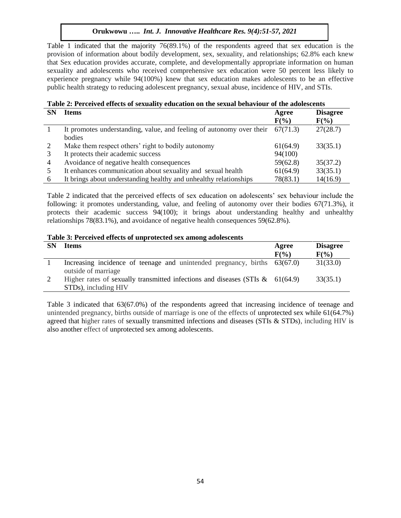Table 1 indicated that the majority 76(89.1%) of the respondents agreed that sex education is the provision of information about bodily development, sex, sexuality, and relationships; 62.8% each knew that Sex education provides accurate, complete, and developmentally appropriate information on human sexuality and adolescents who received comprehensive sex education were 50 percent less likely to experience pregnancy while 94(100%) knew that sex education makes adolescents to be an effective public health strategy to reducing adolescent pregnancy, sexual abuse, incidence of HIV, and STIs.

# **Table 2: Perceived effects of sexuality education on the sexual behaviour of the adolescents**

| <b>SN</b>      | <b>Items</b>                                                         | Agree<br>$F(\%)$ | <b>Disagree</b><br>$F(\%)$ |
|----------------|----------------------------------------------------------------------|------------------|----------------------------|
|                | It promotes understanding, value, and feeling of autonomy over their | 67(71.3)         | 27(28.7)                   |
|                | bodies                                                               |                  |                            |
| 2              | Make them respect others' right to bodily autonomy                   | 61(64.9)         | 33(35.1)                   |
| 3              | It protects their academic success                                   | 94(100)          |                            |
| $\overline{4}$ | Avoidance of negative health consequences                            | 59(62.8)         | 35(37.2)                   |
|                | It enhances communication about sexuality and sexual health          | 61(64.9)         | 33(35.1)                   |
| 6              | It brings about understanding healthy and unhealthy relationships    | 78(83.1)         | 14(16.9)                   |

Table 2 indicated that the perceived effects of sex education on adolescents' sex behaviour include the following: it promotes understanding, value, and feeling of autonomy over their bodies 67(71.3%), it protects their academic success 94(100); it brings about understanding healthy and unhealthy relationships 78(83.1%), and avoidance of negative health consequences 59(62.8%).

### **Table 3: Perceived effects of unprotected sex among adolescents**

| <b>SN</b> | <b>Items</b>                                                                                             | Agree<br>$F(\%)$ | <b>Disagree</b><br>$F(\%)$ |
|-----------|----------------------------------------------------------------------------------------------------------|------------------|----------------------------|
|           | Increasing incidence of teenage and unintended pregnancy, births 63(67.0)<br>outside of marriage         |                  | 31(33.0)                   |
| 2         | Higher rates of sexually transmitted infections and diseases (STIs $\&$ 61(64.9)<br>STDs), including HIV |                  | 33(35.1)                   |

Table 3 indicated that 63(67.0%) of the respondents agreed that increasing incidence of teenage and unintended pregnancy, births outside of marriage is one of the effects of unprotected sex while 61(64.7%) agreed that higher rates of sexually transmitted infections and diseases (STIs & STDs), including HIV is also another effect of unprotected sex among adolescents.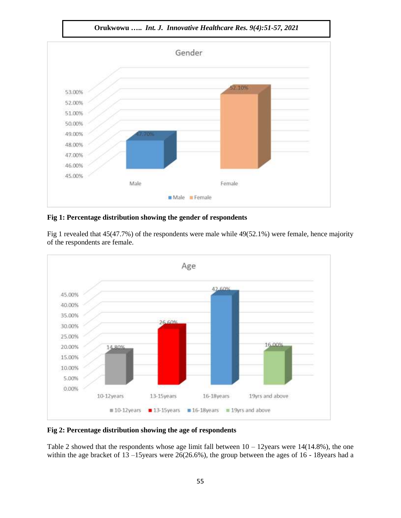

### **Fig 1: Percentage distribution showing the gender of respondents**

Fig 1 revealed that 45(47.7%) of the respondents were male while 49(52.1%) were female, hence majority of the respondents are female.



### **Fig 2: Percentage distribution showing the age of respondents**

Table 2 showed that the respondents whose age limit fall between  $10 - 12$ years were 14(14.8%), the one within the age bracket of 13 –15 years were 26(26.6%), the group between the ages of 16 - 18 years had a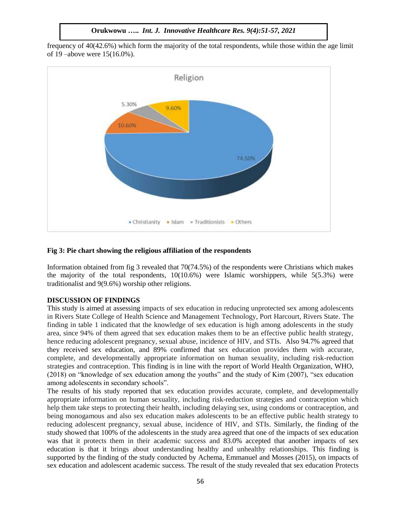**Orukwowu …..** *Int. J. Innovative Healthcare Res. 9(4):51-57, 2021*

frequency of 40(42.6%) which form the majority of the total respondents, while those within the age limit of 19 –above were 15(16.0%).



### **Fig 3: Pie chart showing the religious affiliation of the respondents**

Information obtained from fig 3 revealed that 70(74.5%) of the respondents were Christians which makes the majority of the total respondents,  $10(10.6%)$  were Islamic worshippers, while  $5(5.3%)$  were traditionalist and 9(9.6%) worship other religions.

#### **DISCUSSION OF FINDINGS**

This study is aimed at assessing impacts of sex education in reducing unprotected sex among adolescents in Rivers State College of Health Science and Management Technology, Port Harcourt, Rivers State. The finding in table 1 indicated that the knowledge of sex education is high among adolescents in the study area, since 94% of them agreed that sex education makes them to be an effective public health strategy, hence reducing adolescent pregnancy, sexual abuse, incidence of HIV, and STIs. Also 94.7% agreed that they received sex education, and 89% confirmed that sex education provides them with accurate, complete, and developmentally appropriate information on human sexuality, including risk-reduction strategies and contraception. This finding is in line with the report of World Health Organization, WHO, (2018) on "knowledge of sex education among the youths" and the study of Kim (2007), "sex education among adolescents in secondary schools".

The results of his study reported that sex education provides accurate, complete, and developmentally appropriate information on human sexuality, including risk-reduction strategies and contraception which help them take steps to protecting their health, including delaying sex, using condoms or contraception, and being monogamous and also sex education makes adolescents to be an effective public health strategy to reducing adolescent pregnancy, sexual abuse, incidence of HIV, and STIs. Similarly, the finding of the study showed that 100% of the adolescents in the study area agreed that one of the impacts of sex education was that it protects them in their academic success and 83.0% accepted that another impacts of sex education is that it brings about understanding healthy and unhealthy relationships. This finding is supported by the finding of the study conducted by Achema, Emmanuel and Mosses (2015), on impacts of sex education and adolescent academic success. The result of the study revealed that sex education Protects